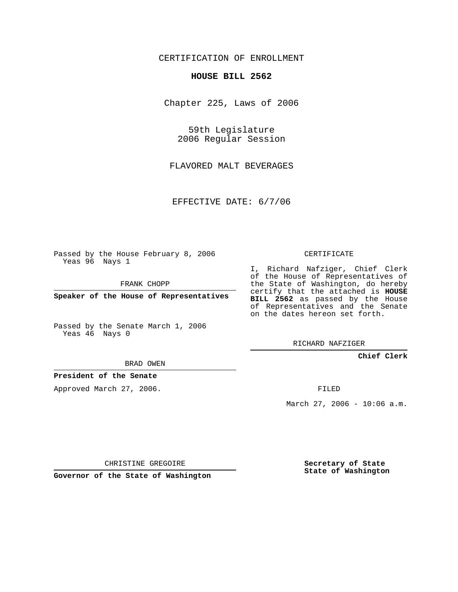## CERTIFICATION OF ENROLLMENT

#### **HOUSE BILL 2562**

Chapter 225, Laws of 2006

59th Legislature 2006 Regular Session

FLAVORED MALT BEVERAGES

EFFECTIVE DATE: 6/7/06

Passed by the House February 8, 2006 Yeas 96 Nays 1

FRANK CHOPP

**Speaker of the House of Representatives**

Passed by the Senate March 1, 2006 Yeas 46 Nays 0

I, Richard Nafziger, Chief Clerk of the House of Representatives of the State of Washington, do hereby certify that the attached is **HOUSE BILL 2562** as passed by the House of Representatives and the Senate on the dates hereon set forth.

CERTIFICATE

RICHARD NAFZIGER

## **Chief Clerk**

BRAD OWEN

## **President of the Senate**

Approved March 27, 2006.

FILED

March 27, 2006 - 10:06 a.m.

CHRISTINE GREGOIRE

**Governor of the State of Washington**

**Secretary of State State of Washington**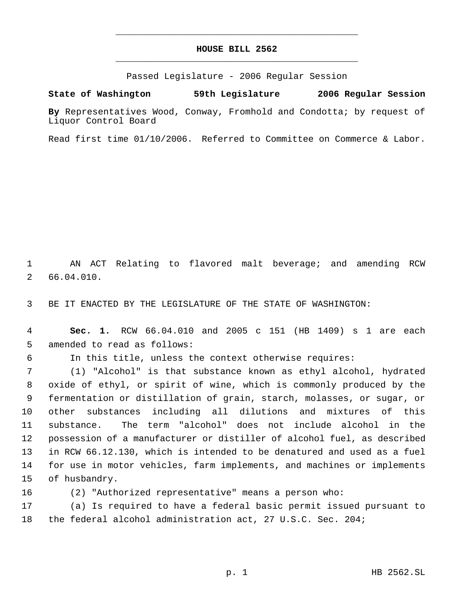# **HOUSE BILL 2562** \_\_\_\_\_\_\_\_\_\_\_\_\_\_\_\_\_\_\_\_\_\_\_\_\_\_\_\_\_\_\_\_\_\_\_\_\_\_\_\_\_\_\_\_\_

\_\_\_\_\_\_\_\_\_\_\_\_\_\_\_\_\_\_\_\_\_\_\_\_\_\_\_\_\_\_\_\_\_\_\_\_\_\_\_\_\_\_\_\_\_

Passed Legislature - 2006 Regular Session

**State of Washington 59th Legislature 2006 Regular Session**

**By** Representatives Wood, Conway, Fromhold and Condotta; by request of Liquor Control Board

Read first time 01/10/2006. Referred to Committee on Commerce & Labor.

 AN ACT Relating to flavored malt beverage; and amending RCW 66.04.010.

BE IT ENACTED BY THE LEGISLATURE OF THE STATE OF WASHINGTON:

 **Sec. 1.** RCW 66.04.010 and 2005 c 151 (HB 1409) s 1 are each amended to read as follows:

In this title, unless the context otherwise requires:

 (1) "Alcohol" is that substance known as ethyl alcohol, hydrated oxide of ethyl, or spirit of wine, which is commonly produced by the fermentation or distillation of grain, starch, molasses, or sugar, or other substances including all dilutions and mixtures of this substance. The term "alcohol" does not include alcohol in the possession of a manufacturer or distiller of alcohol fuel, as described in RCW 66.12.130, which is intended to be denatured and used as a fuel for use in motor vehicles, farm implements, and machines or implements of husbandry.

(2) "Authorized representative" means a person who:

 (a) Is required to have a federal basic permit issued pursuant to the federal alcohol administration act, 27 U.S.C. Sec. 204;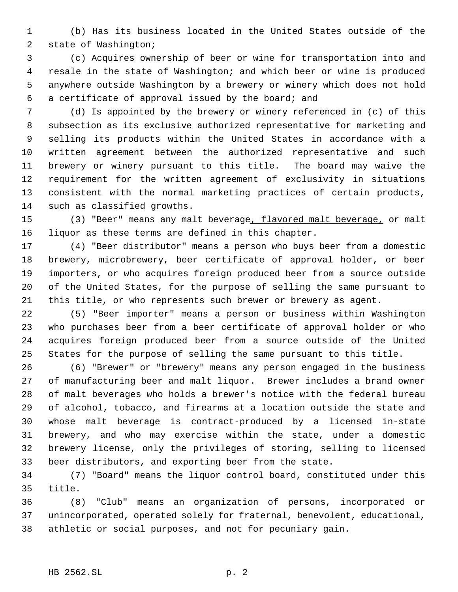(b) Has its business located in the United States outside of the state of Washington;

 (c) Acquires ownership of beer or wine for transportation into and resale in the state of Washington; and which beer or wine is produced anywhere outside Washington by a brewery or winery which does not hold a certificate of approval issued by the board; and

 (d) Is appointed by the brewery or winery referenced in (c) of this subsection as its exclusive authorized representative for marketing and selling its products within the United States in accordance with a written agreement between the authorized representative and such brewery or winery pursuant to this title. The board may waive the requirement for the written agreement of exclusivity in situations consistent with the normal marketing practices of certain products, such as classified growths.

15 (3) "Beer" means any malt beverage, flavored malt beverage, or malt liquor as these terms are defined in this chapter.

 (4) "Beer distributor" means a person who buys beer from a domestic brewery, microbrewery, beer certificate of approval holder, or beer importers, or who acquires foreign produced beer from a source outside of the United States, for the purpose of selling the same pursuant to this title, or who represents such brewer or brewery as agent.

 (5) "Beer importer" means a person or business within Washington who purchases beer from a beer certificate of approval holder or who acquires foreign produced beer from a source outside of the United States for the purpose of selling the same pursuant to this title.

 (6) "Brewer" or "brewery" means any person engaged in the business of manufacturing beer and malt liquor. Brewer includes a brand owner of malt beverages who holds a brewer's notice with the federal bureau of alcohol, tobacco, and firearms at a location outside the state and whose malt beverage is contract-produced by a licensed in-state brewery, and who may exercise within the state, under a domestic brewery license, only the privileges of storing, selling to licensed beer distributors, and exporting beer from the state.

 (7) "Board" means the liquor control board, constituted under this title.

 (8) "Club" means an organization of persons, incorporated or unincorporated, operated solely for fraternal, benevolent, educational, athletic or social purposes, and not for pecuniary gain.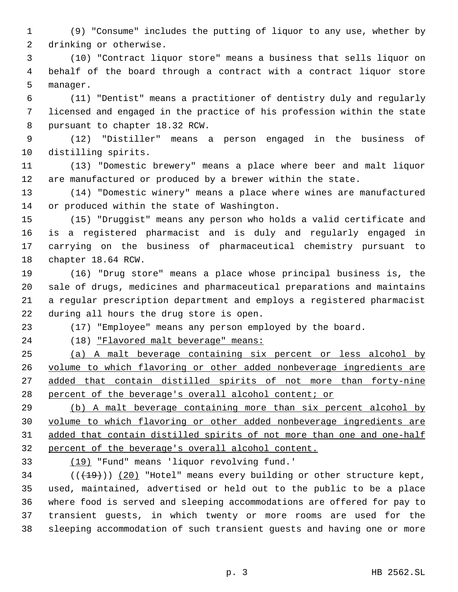(9) "Consume" includes the putting of liquor to any use, whether by drinking or otherwise.

 (10) "Contract liquor store" means a business that sells liquor on behalf of the board through a contract with a contract liquor store manager.

 (11) "Dentist" means a practitioner of dentistry duly and regularly licensed and engaged in the practice of his profession within the state pursuant to chapter 18.32 RCW.

 (12) "Distiller" means a person engaged in the business of distilling spirits.

 (13) "Domestic brewery" means a place where beer and malt liquor are manufactured or produced by a brewer within the state.

 (14) "Domestic winery" means a place where wines are manufactured or produced within the state of Washington.

 (15) "Druggist" means any person who holds a valid certificate and is a registered pharmacist and is duly and regularly engaged in carrying on the business of pharmaceutical chemistry pursuant to chapter 18.64 RCW.

 (16) "Drug store" means a place whose principal business is, the sale of drugs, medicines and pharmaceutical preparations and maintains a regular prescription department and employs a registered pharmacist during all hours the drug store is open.

(17) "Employee" means any person employed by the board.

(18) "Flavored malt beverage" means:

 (a) A malt beverage containing six percent or less alcohol by volume to which flavoring or other added nonbeverage ingredients are 27 added that contain distilled spirits of not more than forty-nine 28 percent of the beverage's overall alcohol content; or

 (b) A malt beverage containing more than six percent alcohol by volume to which flavoring or other added nonbeverage ingredients are added that contain distilled spirits of not more than one and one-half percent of the beverage's overall alcohol content.

(19) "Fund" means 'liquor revolving fund.'

 ( $(\overline{+19})$ ) (20) "Hotel" means every building or other structure kept, used, maintained, advertised or held out to the public to be a place where food is served and sleeping accommodations are offered for pay to transient guests, in which twenty or more rooms are used for the sleeping accommodation of such transient guests and having one or more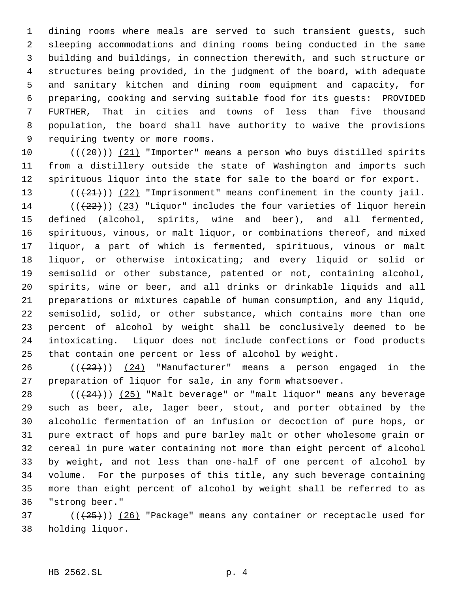dining rooms where meals are served to such transient guests, such sleeping accommodations and dining rooms being conducted in the same building and buildings, in connection therewith, and such structure or structures being provided, in the judgment of the board, with adequate and sanitary kitchen and dining room equipment and capacity, for preparing, cooking and serving suitable food for its guests: PROVIDED FURTHER, That in cities and towns of less than five thousand population, the board shall have authority to waive the provisions requiring twenty or more rooms.

10  $((+20))$   $(21)$  "Importer" means a person who buys distilled spirits from a distillery outside the state of Washington and imports such spirituous liquor into the state for sale to the board or for export.

 $((+21))$   $(22)$  "Imprisonment" means confinement in the county jail.  $((+22))$  (23) "Liquor" includes the four varieties of liquor herein defined (alcohol, spirits, wine and beer), and all fermented, spirituous, vinous, or malt liquor, or combinations thereof, and mixed liquor, a part of which is fermented, spirituous, vinous or malt liquor, or otherwise intoxicating; and every liquid or solid or semisolid or other substance, patented or not, containing alcohol, spirits, wine or beer, and all drinks or drinkable liquids and all preparations or mixtures capable of human consumption, and any liquid, semisolid, solid, or other substance, which contains more than one percent of alcohol by weight shall be conclusively deemed to be intoxicating. Liquor does not include confections or food products that contain one percent or less of alcohol by weight.

26 ( $(\frac{23}{1})$ )  $(24)$  "Manufacturer" means a person engaged in the preparation of liquor for sale, in any form whatsoever.

 $((+24))$   $(25)$  "Malt beverage" or "malt liquor" means any beverage such as beer, ale, lager beer, stout, and porter obtained by the alcoholic fermentation of an infusion or decoction of pure hops, or pure extract of hops and pure barley malt or other wholesome grain or cereal in pure water containing not more than eight percent of alcohol by weight, and not less than one-half of one percent of alcohol by volume. For the purposes of this title, any such beverage containing more than eight percent of alcohol by weight shall be referred to as "strong beer."

 ( $(\frac{25}{1})$ ) (26) "Package" means any container or receptacle used for holding liquor.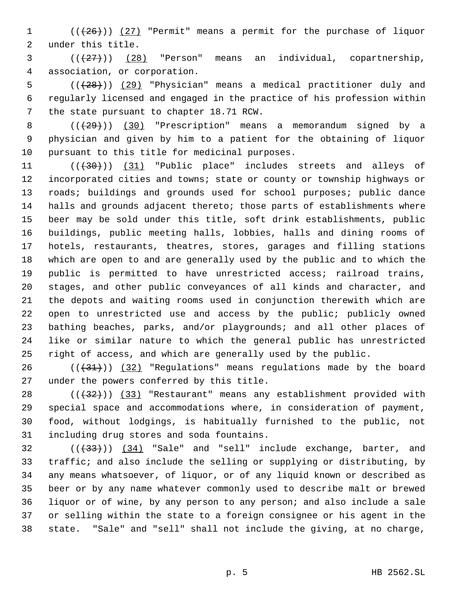1  $((+26))$   $(27)$  "Permit" means a permit for the purchase of liquor under this title.

  $((+27))$   $(28)$  "Person" means an individual, copartnership, association, or corporation.

5 (( $(28)$ )) (29) "Physician" means a medical practitioner duly and regularly licensed and engaged in the practice of his profession within the state pursuant to chapter 18.71 RCW.

8 (( $\left(\frac{29}{12}\right)$ ) (30) "Prescription" means a memorandum signed by a physician and given by him to a patient for the obtaining of liquor pursuant to this title for medicinal purposes.

11 (( $(30)$ )) (31) "Public place" includes streets and alleys of incorporated cities and towns; state or county or township highways or roads; buildings and grounds used for school purposes; public dance halls and grounds adjacent thereto; those parts of establishments where beer may be sold under this title, soft drink establishments, public buildings, public meeting halls, lobbies, halls and dining rooms of hotels, restaurants, theatres, stores, garages and filling stations which are open to and are generally used by the public and to which the public is permitted to have unrestricted access; railroad trains, stages, and other public conveyances of all kinds and character, and the depots and waiting rooms used in conjunction therewith which are 22 open to unrestricted use and access by the public; publicly owned bathing beaches, parks, and/or playgrounds; and all other places of like or similar nature to which the general public has unrestricted right of access, and which are generally used by the public.

26 ( $(\frac{31}{3})$ ) (32) "Regulations" means regulations made by the board under the powers conferred by this title.

 ( $(\frac{32}{})$ ) (33) "Restaurant" means any establishment provided with special space and accommodations where, in consideration of payment, food, without lodgings, is habitually furnished to the public, not including drug stores and soda fountains.

 $(1 + 33)(1 + 33)$  (34) "Sale" and "sell" include exchange, barter, and traffic; and also include the selling or supplying or distributing, by any means whatsoever, of liquor, or of any liquid known or described as beer or by any name whatever commonly used to describe malt or brewed liquor or of wine, by any person to any person; and also include a sale or selling within the state to a foreign consignee or his agent in the state. "Sale" and "sell" shall not include the giving, at no charge,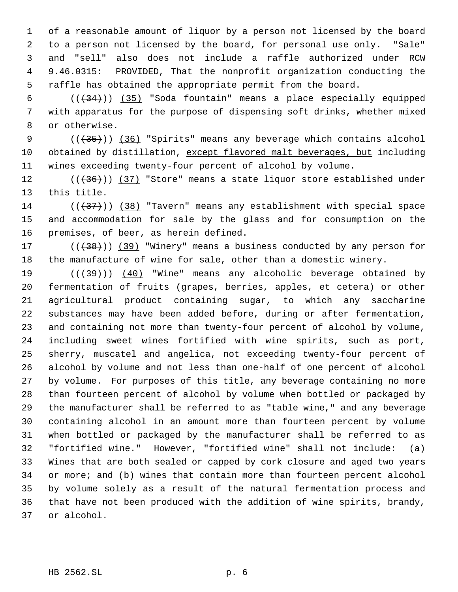of a reasonable amount of liquor by a person not licensed by the board to a person not licensed by the board, for personal use only. "Sale" and "sell" also does not include a raffle authorized under RCW 9.46.0315: PROVIDED, That the nonprofit organization conducting the raffle has obtained the appropriate permit from the board.

 $((+34))$   $(35)$  "Soda fountain" means a place especially equipped with apparatus for the purpose of dispensing soft drinks, whether mixed or otherwise.

 $((+35))$   $(36)$  "Spirits" means any beverage which contains alcohol 10 obtained by distillation, except flavored malt beverages, but including wines exceeding twenty-four percent of alcohol by volume.

 $((+36))$   $(37)$  "Store" means a state liquor store established under this title.

14 ( $(\overline{37})$ ) (38) "Tavern" means any establishment with special space and accommodation for sale by the glass and for consumption on the premises, of beer, as herein defined.

17 (((38))) (39) "Winery" means a business conducted by any person for the manufacture of wine for sale, other than a domestic winery.

19 (( $\left(\frac{1}{39}\right)$ ) (40) "Wine" means any alcoholic beverage obtained by fermentation of fruits (grapes, berries, apples, et cetera) or other agricultural product containing sugar, to which any saccharine substances may have been added before, during or after fermentation, and containing not more than twenty-four percent of alcohol by volume, including sweet wines fortified with wine spirits, such as port, sherry, muscatel and angelica, not exceeding twenty-four percent of alcohol by volume and not less than one-half of one percent of alcohol by volume. For purposes of this title, any beverage containing no more than fourteen percent of alcohol by volume when bottled or packaged by the manufacturer shall be referred to as "table wine," and any beverage containing alcohol in an amount more than fourteen percent by volume when bottled or packaged by the manufacturer shall be referred to as "fortified wine." However, "fortified wine" shall not include: (a) Wines that are both sealed or capped by cork closure and aged two years 34 or more; and (b) wines that contain more than fourteen percent alcohol by volume solely as a result of the natural fermentation process and that have not been produced with the addition of wine spirits, brandy, or alcohol.